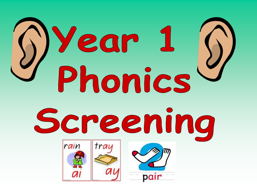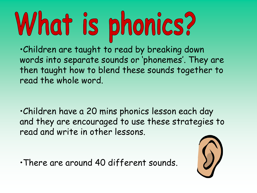## What is phonics?

•Children are taught to read by breaking down words into separate sounds or 'phonemes'. They are then taught how to blend these sounds together to read the whole word.

•Children have a 20 mins phonics lesson each day and they are encouraged to use these strategies to read and write in other lessons.

•There are around 40 different sounds.

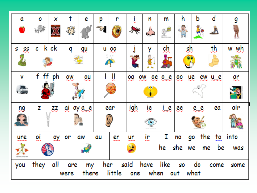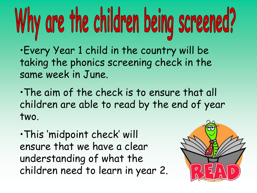# Why are the children being screened?

•Every Year 1 child in the country will be taking the phonics screening check in the same week in June.

•The aim of the check is to ensure that all children are able to read by the end of year two.

•This 'midpoint check' will ensure that we have a clear understanding of what the children need to learn in year 2.

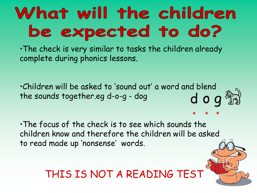#### What will the children be expected to do?

•The check is very similar to tasks the children already complete during phonics lessons.

•Children will be asked to 'sound out' a wor[d and blend](http://www.google.co.uk/imgres?q=phonics+segmenting&start=83&hl=en&qscrl=1&nord=1&rlz=1T4SNYK_en-GBGB313GB313&biw=1280&bih=685&addh=36&tbm=isch&tbnid=4hkhmDNNH3HuvM:&imgrefurl=http://www.littlemummy.com/2012/03/07/phonics-help/&docid=Lh1Yvg-kLUVVQM&imgurl=http://www.littlemummy.com/wp-content/uploads/2012/03/dog-phonics-flashcard.jpg&w=630&h=400&ei=aOh9T9W9H8v58QPSi7GmDg&zoom=1&iact=hc&vpx=625&vpy=221&dur=41&hovh=179&hovw=282&tx=180&ty=82&sig=117638893342511017181&page=5&tbnh=149&tbnw=253&ndsp=20&ved=1t:429,r:2,s:83,i:9)  the sounds together.eg d-o-g - dog dog

•The focus of the check is to see which sounds the children know and therefore the children will be asked to read made up 'nonsense' words.

THIS IS NOT A READING TEST

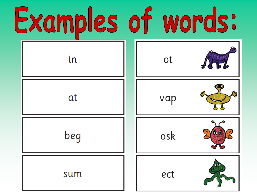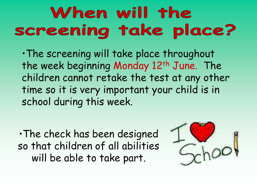#### When will the screening take place?

•The screening will take place throughout the week beginning Monday 12<sup>th</sup> June. The children cannot retake the test at any other time so it is very important your child is in school during this week.

•The check has been designed so that children of all abilities will be able to take part.

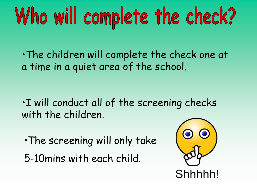## Who will complete the check?

•The children will complete the check one at a time in a quiet area of the school.

•I will conduct all of the screening checks with the children.

•The screening will only take

5-10mins with each child.

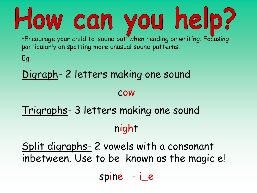#### How can you help? •Encourage your child to 'sound out' when reading or writing. Focusing particularly on spotting more unusual sound patterns.

Eg

#### Digraph- 2 letters making one sound

#### cow

#### Trigraphs- 3 letters making one sound night

Split digraphs- 2 vowels with a consonant inbetween. Use to be known as the magic e!

spine - i\_e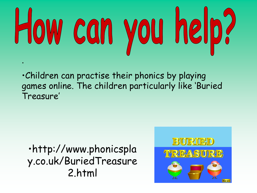## How can you help? .

•Children can practise their phonics by playing games online. The children particularly like 'Buried Treasure'

•http://www.phonicspla y.co.uk/BuriedTreasure 2.html

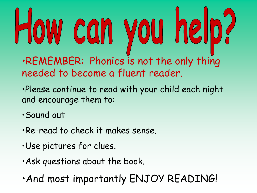### How can you help? •REMEMBER: Phonics is not the only thing needed to become a fluent reader.

- •Please continue to read with your child each night and encourage them to:
- •Sound out
- •Re-read to check it makes sense.
- •Use pictures for clues.
- •Ask questions about the book.
- •And most importantly ENJOY READING!